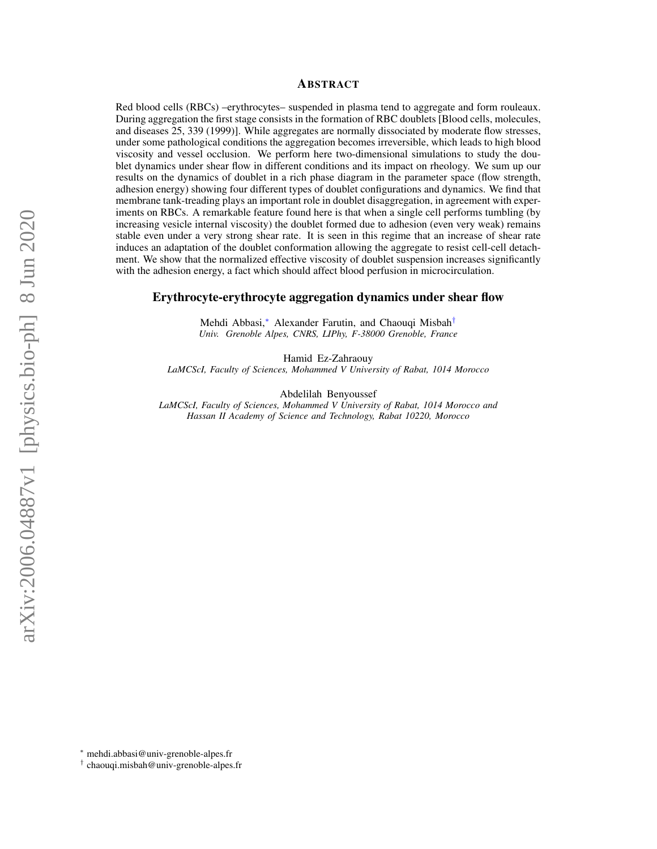## ABSTRACT

Red blood cells (RBCs) –erythrocytes– suspended in plasma tend to aggregate and form rouleaux. During aggregation the first stage consists in the formation of RBC doublets [Blood cells, molecules, and diseases 25, 339 (1999)]. While aggregates are normally dissociated by moderate flow stresses, under some pathological conditions the aggregation becomes irreversible, which leads to high blood viscosity and vessel occlusion. We perform here two-dimensional simulations to study the doublet dynamics under shear flow in different conditions and its impact on rheology. We sum up our results on the dynamics of doublet in a rich phase diagram in the parameter space (flow strength, adhesion energy) showing four different types of doublet configurations and dynamics. We find that membrane tank-treading plays an important role in doublet disaggregation, in agreement with experiments on RBCs. A remarkable feature found here is that when a single cell performs tumbling (by increasing vesicle internal viscosity) the doublet formed due to adhesion (even very weak) remains stable even under a very strong shear rate. It is seen in this regime that an increase of shear rate induces an adaptation of the doublet conformation allowing the aggregate to resist cell-cell detachment. We show that the normalized effective viscosity of doublet suspension increases significantly with the adhesion energy, a fact which should affect blood perfusion in microcirculation.

## Erythrocyte-erythrocyte aggregation dynamics under shear flow

Mehdi Abbasi,[∗](#page-0-0) Alexander Farutin, and Chaouqi Misbah[†](#page-0-1) *Univ. Grenoble Alpes, CNRS, LIPhy, F-38000 Grenoble, France*

Hamid Ez-Zahraouy *LaMCScI, Faculty of Sciences, Mohammed V University of Rabat, 1014 Morocco*

Abdelilah Benyoussef

*LaMCScI, Faculty of Sciences, Mohammed V University of Rabat, 1014 Morocco and Hassan II Academy of Science and Technology, Rabat 10220, Morocco*

<span id="page-0-0"></span><sup>∗</sup> [mehdi.abbasi@univ-grenoble-alpes.fr](mailto:mehdi.abbasi@univ-grenoble-alpes.fr)

<span id="page-0-1"></span><sup>†</sup> [chaouqi.misbah@univ-grenoble-alpes.fr](mailto:chaouqi.misbah@univ-grenoble-alpes.fr)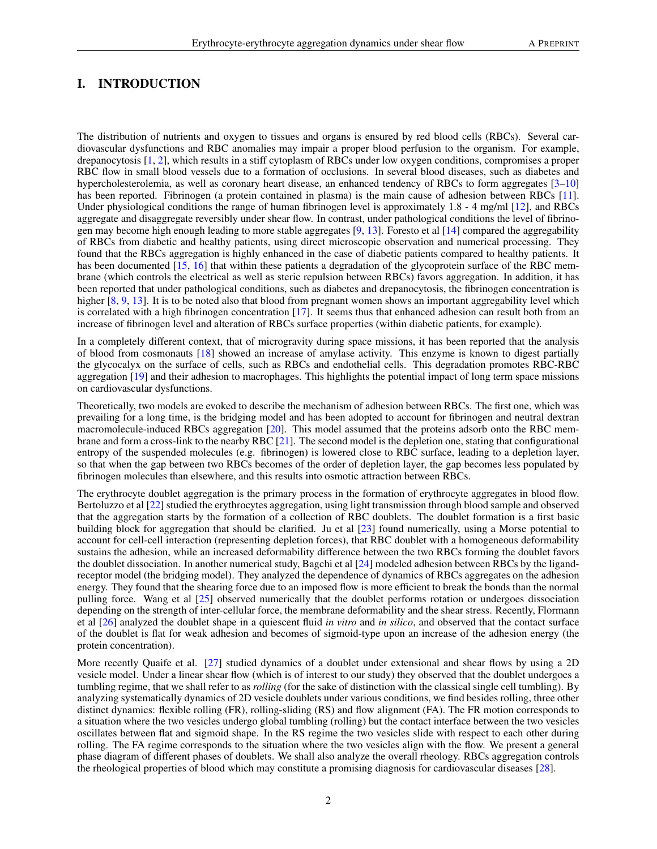# I. INTRODUCTION

The distribution of nutrients and oxygen to tissues and organs is ensured by red blood cells (RBCs). Several cardiovascular dysfunctions and RBC anomalies may impair a proper blood perfusion to the organism. For example, drepanocytosis [\[1,](#page-13-0) [2\]](#page-13-1), which results in a stiff cytoplasm of RBCs under low oxygen conditions, compromises a proper RBC flow in small blood vessels due to a formation of occlusions. In several blood diseases, such as diabetes and hypercholesterolemia, as well as coronary heart disease, an enhanced tendency of RBCs to form aggregates [\[3–](#page-13-2)[10\]](#page-13-3) has been reported. Fibrinogen (a protein contained in plasma) is the main cause of adhesion between RBCs [\[11\]](#page-13-4). Under physiological conditions the range of human fibrinogen level is approximately 1.8 - 4 mg/ml [\[12\]](#page-13-5), and RBCs aggregate and disaggregate reversibly under shear flow. In contrast, under pathological conditions the level of fibrinogen may become high enough leading to more stable aggregates [\[9,](#page-13-6) [13\]](#page-13-7). Foresto et al [\[14\]](#page-13-8) compared the aggregability of RBCs from diabetic and healthy patients, using direct microscopic observation and numerical processing. They found that the RBCs aggregation is highly enhanced in the case of diabetic patients compared to healthy patients. It has been documented [\[15,](#page-13-9) [16\]](#page-13-10) that within these patients a degradation of the glycoprotein surface of the RBC membrane (which controls the electrical as well as steric repulsion between RBCs) favors aggregation. In addition, it has been reported that under pathological conditions, such as diabetes and drepanocytosis, the fibrinogen concentration is higher [\[8,](#page-13-11) [9,](#page-13-6) [13\]](#page-13-7). It is to be noted also that blood from pregnant women shows an important aggregability level which is correlated with a high fibrinogen concentration [\[17\]](#page-13-12). It seems thus that enhanced adhesion can result both from an increase of fibrinogen level and alteration of RBCs surface properties (within diabetic patients, for example).

In a completely different context, that of microgravity during space missions, it has been reported that the analysis of blood from cosmonauts [\[18\]](#page-13-13) showed an increase of amylase activity. This enzyme is known to digest partially the glycocalyx on the surface of cells, such as RBCs and endothelial cells. This degradation promotes RBC-RBC aggregation [\[19\]](#page-13-14) and their adhesion to macrophages. This highlights the potential impact of long term space missions on cardiovascular dysfunctions.

Theoretically, two models are evoked to describe the mechanism of adhesion between RBCs. The first one, which was prevailing for a long time, is the bridging model and has been adopted to account for fibrinogen and neutral dextran macromolecule-induced RBCs aggregation [\[20\]](#page-13-15). This model assumed that the proteins adsorb onto the RBC membrane and form a cross-link to the nearby RBC [\[21\]](#page-13-16). The second model is the depletion one, stating that configurational entropy of the suspended molecules (e.g. fibrinogen) is lowered close to RBC surface, leading to a depletion layer, so that when the gap between two RBCs becomes of the order of depletion layer, the gap becomes less populated by fibrinogen molecules than elsewhere, and this results into osmotic attraction between RBCs.

The erythrocyte doublet aggregation is the primary process in the formation of erythrocyte aggregates in blood flow. Bertoluzzo et al [\[22\]](#page-13-17) studied the erythrocytes aggregation, using light transmission through blood sample and observed that the aggregation starts by the formation of a collection of RBC doublets. The doublet formation is a first basic building block for aggregation that should be clarified. Ju et al [\[23\]](#page-13-18) found numerically, using a Morse potential to account for cell-cell interaction (representing depletion forces), that RBC doublet with a homogeneous deformability sustains the adhesion, while an increased deformability difference between the two RBCs forming the doublet favors the doublet dissociation. In another numerical study, Bagchi et al [\[24\]](#page-13-19) modeled adhesion between RBCs by the ligandreceptor model (the bridging model). They analyzed the dependence of dynamics of RBCs aggregates on the adhesion energy. They found that the shearing force due to an imposed flow is more efficient to break the bonds than the normal pulling force. Wang et al [\[25\]](#page-13-20) observed numerically that the doublet performs rotation or undergoes dissociation depending on the strength of inter-cellular force, the membrane deformability and the shear stress. Recently, Flormann et al [\[26\]](#page-13-21) analyzed the doublet shape in a quiescent fluid *in vitro* and *in silico*, and observed that the contact surface of the doublet is flat for weak adhesion and becomes of sigmoid-type upon an increase of the adhesion energy (the protein concentration).

More recently Quaife et al. [\[27\]](#page-13-22) studied dynamics of a doublet under extensional and shear flows by using a 2D vesicle model. Under a linear shear flow (which is of interest to our study) they observed that the doublet undergoes a tumbling regime, that we shall refer to as *rolling* (for the sake of distinction with the classical single cell tumbling). By analyzing systematically dynamics of 2D vesicle doublets under various conditions, we find besides rolling, three other distinct dynamics: flexible rolling (FR), rolling-sliding (RS) and flow alignment (FA). The FR motion corresponds to a situation where the two vesicles undergo global tumbling (rolling) but the contact interface between the two vesicles oscillates between flat and sigmoid shape. In the RS regime the two vesicles slide with respect to each other during rolling. The FA regime corresponds to the situation where the two vesicles align with the flow. We present a general phase diagram of different phases of doublets. We shall also analyze the overall rheology. RBCs aggregation controls the rheological properties of blood which may constitute a promising diagnosis for cardiovascular diseases [\[28\]](#page-13-23).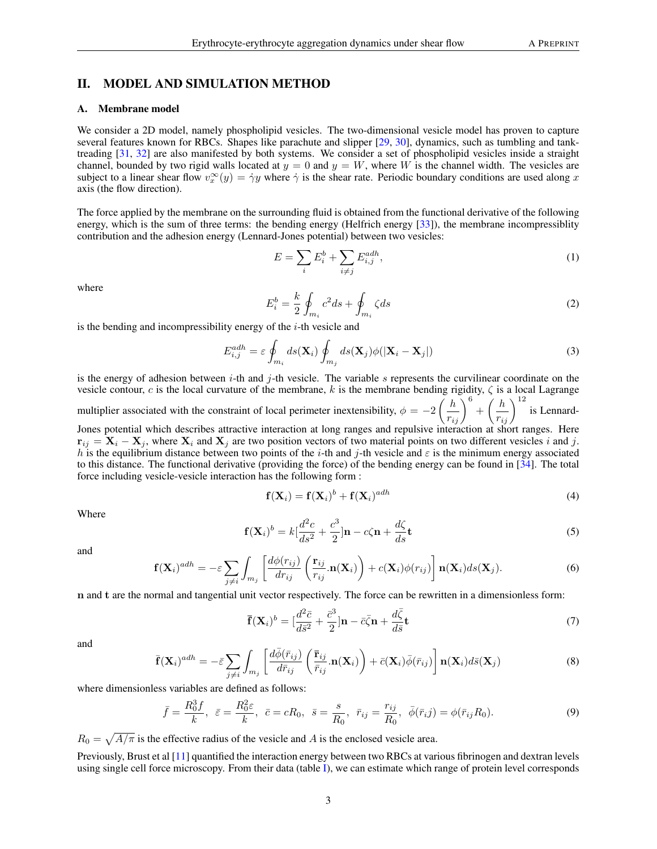## II. MODEL AND SIMULATION METHOD

#### A. Membrane model

We consider a 2D model, namely phospholipid vesicles. The two-dimensional vesicle model has proven to capture several features known for RBCs. Shapes like parachute and slipper [\[29,](#page-13-24) [30\]](#page-13-25), dynamics, such as tumbling and tanktreading [\[31,](#page-13-26) [32\]](#page-13-27) are also manifested by both systems. We consider a set of phospholipid vesicles inside a straight channel, bounded by two rigid walls located at  $y = 0$  and  $y = W$ , where W is the channel width. The vesicles are subject to a linear shear flow  $v_x^{\infty}(y) = \dot{\gamma}y$  where  $\dot{\gamma}$  is the shear rate. Periodic boundary conditions are used along x axis (the flow direction).

The force applied by the membrane on the surrounding fluid is obtained from the functional derivative of the following energy, which is the sum of three terms: the bending energy (Helfrich energy [\[33\]](#page-13-28)), the membrane incompressiblity contribution and the adhesion energy (Lennard-Jones potential) between two vesicles:

$$
E = \sum_{i} E_i^b + \sum_{i \neq j} E_{i,j}^{adh}, \tag{1}
$$

where

$$
E_i^b = \frac{k}{2} \oint_{m_i} c^2 ds + \oint_{m_i} \zeta ds \tag{2}
$$

is the bending and incompressibility energy of the  $i$ -th vesicle and

$$
E_{i,j}^{adh} = \varepsilon \oint_{m_i} ds(\mathbf{X}_i) \oint_{m_j} ds(\mathbf{X}_j) \phi(|\mathbf{X}_i - \mathbf{X}_j|)
$$
 (3)

is the energy of adhesion between  $i$ -th and j-th vesicle. The variable s represents the curvilinear coordinate on the vesicle contour, c is the local curvature of the membrane, k is the membrane bending rigidity,  $\zeta$  is a local Lagrange multiplier associated with the constraint of local perimeter inextensibility,  $\phi = -2\left(\frac{h}{r_{ij}}\right)^6 + \left(\frac{h}{r_{ij}}\right)^{12}$ is Lennard-Jones potential which describes attractive interaction at long ranges and repulsive interaction at short ranges. Here  $\mathbf{r}_{ij} = \mathbf{X}_i - \mathbf{X}_j$ , where  $\mathbf{X}_i$  and  $\mathbf{X}_j$  are two position vectors of two material points on two different vesicles i and j. h is the equilibrium distance between two points of the i-th and j-th vesicle and  $\varepsilon$  is the minimum energy associated to this distance. The functional derivative (providing the force) of the bending energy can be found in [\[34\]](#page-13-29). The total force including vesicle-vesicle interaction has the following form :

$$
\mathbf{f}(\mathbf{X}_i) = \mathbf{f}(\mathbf{X}_i)^b + \mathbf{f}(\mathbf{X}_i)^{adh} \tag{4}
$$

Where

$$
\mathbf{f}(\mathbf{X}_i)^b = k \left[ \frac{d^2c}{ds^2} + \frac{c^3}{2} \right] \mathbf{n} - c\zeta \mathbf{n} + \frac{d\zeta}{ds} \mathbf{t}
$$
 (5)

and

$$
\mathbf{f}(\mathbf{X}_i)^{adh} = -\varepsilon \sum_{j \neq i} \int_{m_j} \left[ \frac{d\phi(r_{ij})}{dr_{ij}} \left( \frac{\mathbf{r}_{ij}}{r_{ij}} \cdot \mathbf{n}(\mathbf{X}_i) \right) + c(\mathbf{X}_i) \phi(r_{ij}) \right] \mathbf{n}(\mathbf{X}_i) ds(\mathbf{X}_j).
$$
 (6)

n and t are the normal and tangential unit vector respectively. The force can be rewritten in a dimensionless form:

$$
\overline{\mathbf{f}}(\mathbf{X}_i)^b = [\frac{d^2\overline{c}}{d\overline{s}^2} + \frac{\overline{c}^3}{2}]\mathbf{n} - \overline{c}\overline{\zeta}\mathbf{n} + \frac{d\overline{\zeta}}{d\overline{s}}\mathbf{t}
$$
\n(7)

and

$$
\bar{\mathbf{f}}(\mathbf{X}_{i})^{adh} = -\bar{\varepsilon} \sum_{j \neq i} \int_{m_{j}} \left[ \frac{d\bar{\phi}(\bar{r}_{ij})}{d\bar{r}_{ij}} \left( \frac{\bar{\mathbf{r}}_{ij}}{\bar{r}_{ij}} . \mathbf{n}(\mathbf{X}_{i}) \right) + \bar{c}(\mathbf{X}_{i}) \bar{\phi}(\bar{r}_{ij}) \right] \mathbf{n}(\mathbf{X}_{i}) d\bar{s}(\mathbf{X}_{j})
$$
(8)

where dimensionless variables are defined as follows:

$$
\bar{f} = \frac{R_0^3 f}{k}, \ \ \bar{\varepsilon} = \frac{R_0^2 \varepsilon}{k}, \ \ \bar{c} = cR_0, \ \ \bar{s} = \frac{s}{R_0}, \ \ \bar{r}_{ij} = \frac{r_{ij}}{R_0}, \ \ \bar{\phi}(\bar{r}_{ij}) = \phi(\bar{r}_{ij}R_0). \tag{9}
$$

 $R_0 = \sqrt{A/\pi}$  is the effective radius of the vesicle and A is the enclosed vesicle area.

Previously, Brust et al [\[11\]](#page-13-4) quantified the interaction energy between two RBCs at various fibrinogen and dextran levels using single cell force microscopy. From their data (table [I\)](#page-3-0), we can estimate which range of protein level corresponds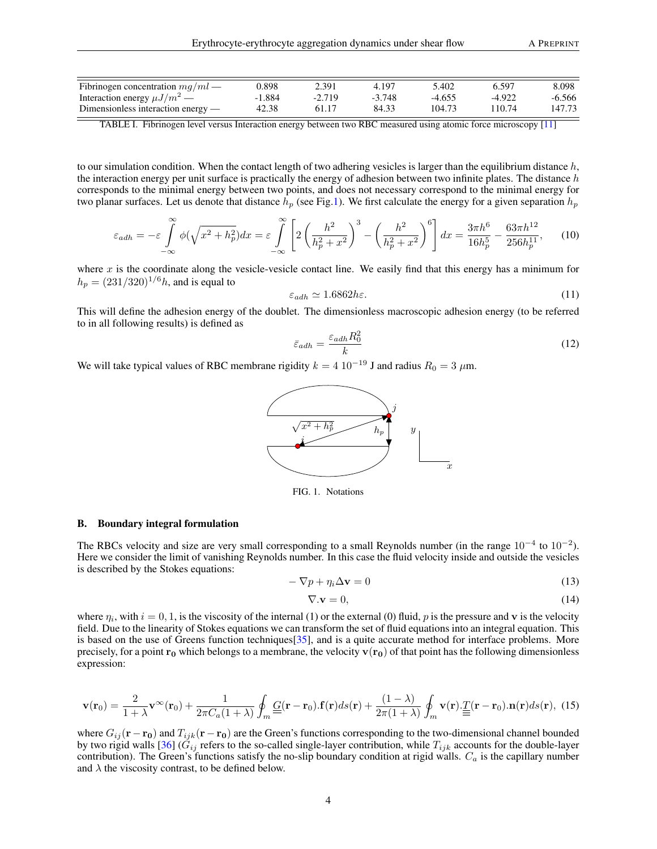| Fibrinogen concentration $mq/ml$     | 0.898    | 2.391    | 4.197    | 5.402    | 6.597    | 8.098  |
|--------------------------------------|----------|----------|----------|----------|----------|--------|
| Interaction energy $\mu J/m^2$ —     | $-1.884$ | $-2.719$ | $-3.748$ | $-4.655$ | $-4.922$ | -6.566 |
| Dimensionless interaction energy $-$ | 42.38    |          | 84.33    | 104.73   | 10.74    | 147.73 |

<span id="page-3-0"></span>TABLE I. Fibrinogen level versus Interaction energy between two RBC measured using atomic force microscopy [\[11\]](#page-13-4)

to our simulation condition. When the contact length of two adhering vesicles is larger than the equilibrium distance  $h$ , the interaction energy per unit surface is practically the energy of adhesion between two infinite plates. The distance  $h$ corresponds to the minimal energy between two points, and does not necessary correspond to the minimal energy for two planar surfaces. Let us denote that distance  $h_p$  (see Fig[.1\)](#page-3-1). We first calculate the energy for a given separation  $h_p$ 

$$
\varepsilon_{adh} = -\varepsilon \int_{-\infty}^{\infty} \phi(\sqrt{x^2 + h_p^2}) dx = \varepsilon \int_{-\infty}^{\infty} \left[ 2\left(\frac{h^2}{h_p^2 + x^2}\right)^3 - \left(\frac{h^2}{h_p^2 + x^2}\right)^6 \right] dx = \frac{3\pi h^6}{16h_p^5} - \frac{63\pi h^{12}}{256h_p^{11}},\tag{10}
$$

where  $x$  is the coordinate along the vesicle-vesicle contact line. We easily find that this energy has a minimum for  $h_p = (231/320)^{1/6}h$ , and is equal to

$$
\varepsilon_{adh} \simeq 1.6862 \hbar \varepsilon. \tag{11}
$$

This will define the adhesion energy of the doublet. The dimensionless macroscopic adhesion energy (to be referred to in all following results) is defined as

$$
\bar{\varepsilon}_{adh} = \frac{\varepsilon_{adh} R_0^2}{k} \tag{12}
$$

We will take typical values of RBC membrane rigidity  $k = 4 \times 10^{-19}$  J and radius  $R_0 = 3 \mu m$ .



<span id="page-3-1"></span>FIG. 1. Notations

#### B. Boundary integral formulation

The RBCs velocity and size are very small corresponding to a small Reynolds number (in the range  $10^{-4}$  to  $10^{-2}$ ). Here we consider the limit of vanishing Reynolds number. In this case the fluid velocity inside and outside the vesicles is described by the Stokes equations:

$$
-\nabla p + \eta_i \Delta \mathbf{v} = 0 \tag{13}
$$

$$
\nabla \mathbf{.} \mathbf{v} = 0,\tag{14}
$$

where  $\eta_i$ , with  $i = 0, 1$ , is the viscosity of the internal (1) or the external (0) fluid, p is the pressure and v is the velocity field. Due to the linearity of Stokes equations we can transform the set of fluid equations into an integral equation. This is based on the use of Greens function techniques[\[35\]](#page-13-30), and is a quite accurate method for interface problems. More precisely, for a point  $r_0$  which belongs to a membrane, the velocity  $v(r_0)$  of that point has the following dimensionless expression:

$$
\mathbf{v}(\mathbf{r}_0) = \frac{2}{1+\lambda}\mathbf{v}^{\infty}(\mathbf{r}_0) + \frac{1}{2\pi C_a(1+\lambda)}\oint_m \underline{G}(\mathbf{r}-\mathbf{r}_0).\mathbf{f}(\mathbf{r})ds(\mathbf{r}) + \frac{(1-\lambda)}{2\pi(1+\lambda)}\oint_m \mathbf{v}(\mathbf{r}) \cdot \underline{T}(\mathbf{r}-\mathbf{r}_0).\mathbf{n}(\mathbf{r})ds(\mathbf{r}), \tag{15}
$$

where  $G_{ij}(\mathbf{r}-\mathbf{r_0})$  and  $T_{ijk}(\mathbf{r}-\mathbf{r_0})$  are the Green's functions corresponding to the two-dimensional channel bounded by two rigid walls [\[36\]](#page-13-31) ( $G_{ij}$  refers to the so-called single-layer contribution, while  $T_{ijk}$  accounts for the double-layer contribution). The Green's functions satisfy the no-slip boundary condition at rigid walls.  $C_a$  is the capillary number and  $\lambda$  the viscosity contrast, to be defined below.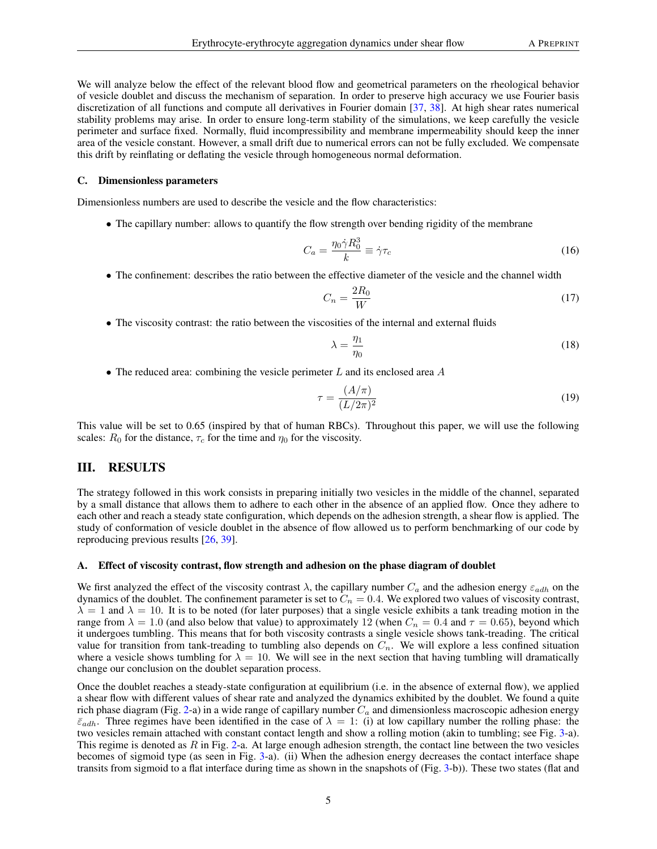We will analyze below the effect of the relevant blood flow and geometrical parameters on the rheological behavior of vesicle doublet and discuss the mechanism of separation. In order to preserve high accuracy we use Fourier basis discretization of all functions and compute all derivatives in Fourier domain [\[37,](#page-13-32) [38\]](#page-13-33). At high shear rates numerical stability problems may arise. In order to ensure long-term stability of the simulations, we keep carefully the vesicle perimeter and surface fixed. Normally, fluid incompressibility and membrane impermeability should keep the inner area of the vesicle constant. However, a small drift due to numerical errors can not be fully excluded. We compensate this drift by reinflating or deflating the vesicle through homogeneous normal deformation.

#### C. Dimensionless parameters

Dimensionless numbers are used to describe the vesicle and the flow characteristics:

• The capillary number: allows to quantify the flow strength over bending rigidity of the membrane

$$
C_a = \frac{\eta_0 \dot{\gamma} R_0^3}{k} \equiv \dot{\gamma} \tau_c \tag{16}
$$

• The confinement: describes the ratio between the effective diameter of the vesicle and the channel width

$$
C_n = \frac{2R_0}{W} \tag{17}
$$

• The viscosity contrast: the ratio between the viscosities of the internal and external fluids

$$
\lambda = \frac{\eta_1}{\eta_0} \tag{18}
$$

• The reduced area: combining the vesicle perimeter  $L$  and its enclosed area  $A$ 

$$
\tau = \frac{(A/\pi)}{(L/2\pi)^2} \tag{19}
$$

This value will be set to 0.65 (inspired by that of human RBCs). Throughout this paper, we will use the following scales:  $R_0$  for the distance,  $\tau_c$  for the time and  $\eta_0$  for the viscosity.

## III. RESULTS

The strategy followed in this work consists in preparing initially two vesicles in the middle of the channel, separated by a small distance that allows them to adhere to each other in the absence of an applied flow. Once they adhere to each other and reach a steady state configuration, which depends on the adhesion strength, a shear flow is applied. The study of conformation of vesicle doublet in the absence of flow allowed us to perform benchmarking of our code by reproducing previous results [\[26,](#page-13-21) [39\]](#page-13-34).

### A. Effect of viscosity contrast, flow strength and adhesion on the phase diagram of doublet

We first analyzed the effect of the viscosity contrast  $\lambda$ , the capillary number  $C_a$  and the adhesion energy  $\varepsilon_{adh}$  on the dynamics of the doublet. The confinement parameter is set to  $C_n = 0.4$ . We explored two values of viscosity contrast,  $\lambda = 1$  and  $\lambda = 10$ . It is to be noted (for later purposes) that a single vesicle exhibits a tank treading motion in the range from  $\lambda = 1.0$  (and also below that value) to approximately 12 (when  $C_n = 0.4$  and  $\tau = 0.65$ ), beyond which it undergoes tumbling. This means that for both viscosity contrasts a single vesicle shows tank-treading. The critical value for transition from tank-treading to tumbling also depends on  $C_n$ . We will explore a less confined situation where a vesicle shows tumbling for  $\lambda = 10$ . We will see in the next section that having tumbling will dramatically change our conclusion on the doublet separation process.

Once the doublet reaches a steady-state configuration at equilibrium (i.e. in the absence of external flow), we applied a shear flow with different values of shear rate and analyzed the dynamics exhibited by the doublet. We found a quite rich phase diagram (Fig. [2-](#page-5-0)a) in a wide range of capillary number  $C_a$  and dimensionless macroscopic adhesion energy  $\bar{\varepsilon}_{adh}$ . Three regimes have been identified in the case of  $\lambda = 1$ : (i) at low capillary number the rolling phase: the two vesicles remain attached with constant contact length and show a rolling motion (akin to tumbling; see Fig. [3-](#page-6-0)a). This regime is denoted as  $R$  in Fig. [2-](#page-5-0)a. At large enough adhesion strength, the contact line between the two vesicles becomes of sigmoid type (as seen in Fig. [3-](#page-6-0)a). (ii) When the adhesion energy decreases the contact interface shape transits from sigmoid to a flat interface during time as shown in the snapshots of (Fig. [3-](#page-6-0)b)). These two states (flat and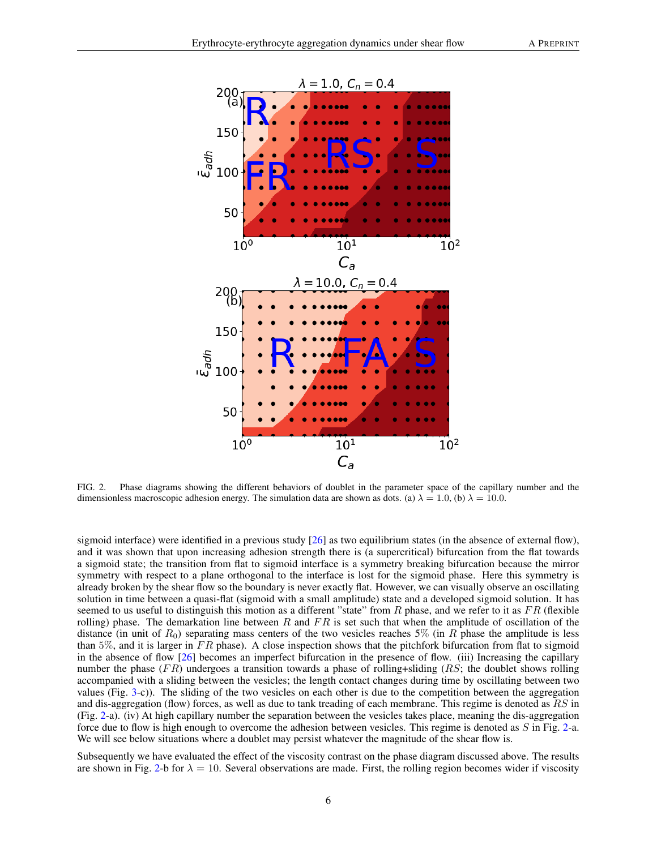

<span id="page-5-0"></span>FIG. 2. Phase diagrams showing the different behaviors of doublet in the parameter space of the capillary number and the dimensionless macroscopic adhesion energy. The simulation data are shown as dots. (a)  $\lambda = 1.0$ , (b)  $\lambda = 10.0$ .

sigmoid interface) were identified in a previous study [\[26\]](#page-13-21) as two equilibrium states (in the absence of external flow), and it was shown that upon increasing adhesion strength there is (a supercritical) bifurcation from the flat towards a sigmoid state; the transition from flat to sigmoid interface is a symmetry breaking bifurcation because the mirror symmetry with respect to a plane orthogonal to the interface is lost for the sigmoid phase. Here this symmetry is already broken by the shear flow so the boundary is never exactly flat. However, we can visually observe an oscillating solution in time between a quasi-flat (sigmoid with a small amplitude) state and a developed sigmoid solution. It has seemed to us useful to distinguish this motion as a different "state" from R phase, and we refer to it as  $FR$  (flexible rolling) phase. The demarkation line between R and  $FR$  is set such that when the amplitude of oscillation of the distance (in unit of  $R_0$ ) separating mass centers of the two vesicles reaches 5% (in R phase the amplitude is less than 5%, and it is larger in  $FR$  phase). A close inspection shows that the pitchfork bifurcation from flat to sigmoid in the absence of flow [\[26\]](#page-13-21) becomes an imperfect bifurcation in the presence of flow. (iii) Increasing the capillary number the phase (FR) undergoes a transition towards a phase of rolling+sliding (RS; the doublet shows rolling accompanied with a sliding between the vesicles; the length contact changes during time by oscillating between two values (Fig. [3-](#page-6-0)c)). The sliding of the two vesicles on each other is due to the competition between the aggregation and dis-aggregation (flow) forces, as well as due to tank treading of each membrane. This regime is denoted as RS in (Fig. [2-](#page-5-0)a). (iv) At high capillary number the separation between the vesicles takes place, meaning the dis-aggregation force due to flow is high enough to overcome the adhesion between vesicles. This regime is denoted as S in Fig. [2-](#page-5-0)a. We will see below situations where a doublet may persist whatever the magnitude of the shear flow is.

Subsequently we have evaluated the effect of the viscosity contrast on the phase diagram discussed above. The results are shown in Fig. [2-](#page-5-0)b for  $\lambda = 10$ . Several observations are made. First, the rolling region becomes wider if viscosity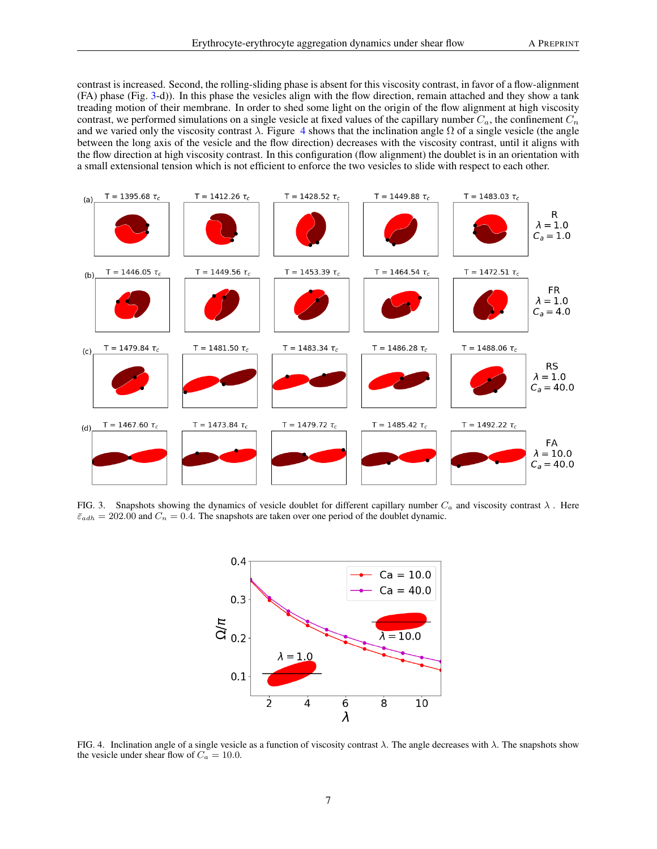contrast is increased. Second, the rolling-sliding phase is absent for this viscosity contrast, in favor of a flow-alignment (FA) phase (Fig. [3-](#page-6-0)d)). In this phase the vesicles align with the flow direction, remain attached and they show a tank treading motion of their membrane. In order to shed some light on the origin of the flow alignment at high viscosity contrast, we performed simulations on a single vesicle at fixed values of the capillary number  $C_a$ , the confinement  $C_n$ and we varied only the viscosity contrast  $\lambda$ . Figure [4](#page-6-1) shows that the inclination angle  $\Omega$  of a single vesicle (the angle between the long axis of the vesicle and the flow direction) decreases with the viscosity contrast, until it aligns with the flow direction at high viscosity contrast. In this configuration (flow alignment) the doublet is in an orientation with a small extensional tension which is not efficient to enforce the two vesicles to slide with respect to each other.



<span id="page-6-0"></span>FIG. 3. Snapshots showing the dynamics of vesicle doublet for different capillary number  $C_a$  and viscosity contrast  $\lambda$ . Here  $\bar{\varepsilon}_{adh} = 202.00$  and  $C_n = 0.4$ . The snapshots are taken over one period of the doublet dynamic.



<span id="page-6-1"></span>FIG. 4. Inclination angle of a single vesicle as a function of viscosity contrast  $\lambda$ . The angle decreases with  $\lambda$ . The snapshots show the vesicle under shear flow of  $C_a = 10.0$ .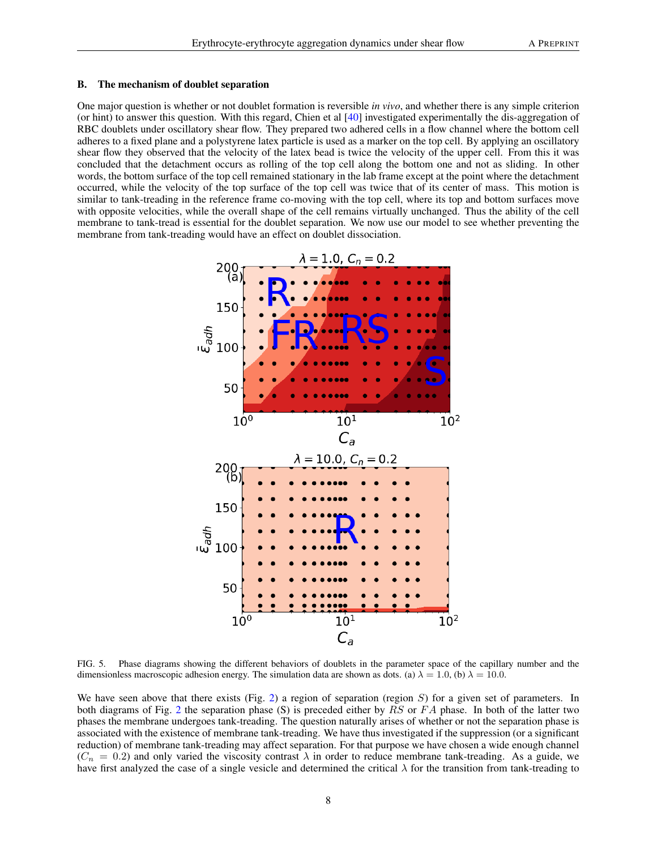### B. The mechanism of doublet separation

One major question is whether or not doublet formation is reversible *in vivo*, and whether there is any simple criterion (or hint) to answer this question. With this regard, Chien et al [\[40\]](#page-13-35) investigated experimentally the dis-aggregation of RBC doublets under oscillatory shear flow. They prepared two adhered cells in a flow channel where the bottom cell adheres to a fixed plane and a polystyrene latex particle is used as a marker on the top cell. By applying an oscillatory shear flow they observed that the velocity of the latex bead is twice the velocity of the upper cell. From this it was concluded that the detachment occurs as rolling of the top cell along the bottom one and not as sliding. In other words, the bottom surface of the top cell remained stationary in the lab frame except at the point where the detachment occurred, while the velocity of the top surface of the top cell was twice that of its center of mass. This motion is similar to tank-treading in the reference frame co-moving with the top cell, where its top and bottom surfaces move with opposite velocities, while the overall shape of the cell remains virtually unchanged. Thus the ability of the cell membrane to tank-tread is essential for the doublet separation. We now use our model to see whether preventing the membrane from tank-treading would have an effect on doublet dissociation.



<span id="page-7-0"></span>FIG. 5. Phase diagrams showing the different behaviors of doublets in the parameter space of the capillary number and the dimensionless macroscopic adhesion energy. The simulation data are shown as dots. (a)  $\lambda = 1.0$ , (b)  $\lambda = 10.0$ .

We have seen above that there exists (Fig. [2\)](#page-5-0) a region of separation (region  $S$ ) for a given set of parameters. In both diagrams of Fig. [2](#page-5-0) the separation phase (S) is preceded either by  $RS$  or  $FA$  phase. In both of the latter two phases the membrane undergoes tank-treading. The question naturally arises of whether or not the separation phase is associated with the existence of membrane tank-treading. We have thus investigated if the suppression (or a significant reduction) of membrane tank-treading may affect separation. For that purpose we have chosen a wide enough channel  $(C_n = 0.2)$  and only varied the viscosity contrast  $\lambda$  in order to reduce membrane tank-treading. As a guide, we have first analyzed the case of a single vesicle and determined the critical  $\lambda$  for the transition from tank-treading to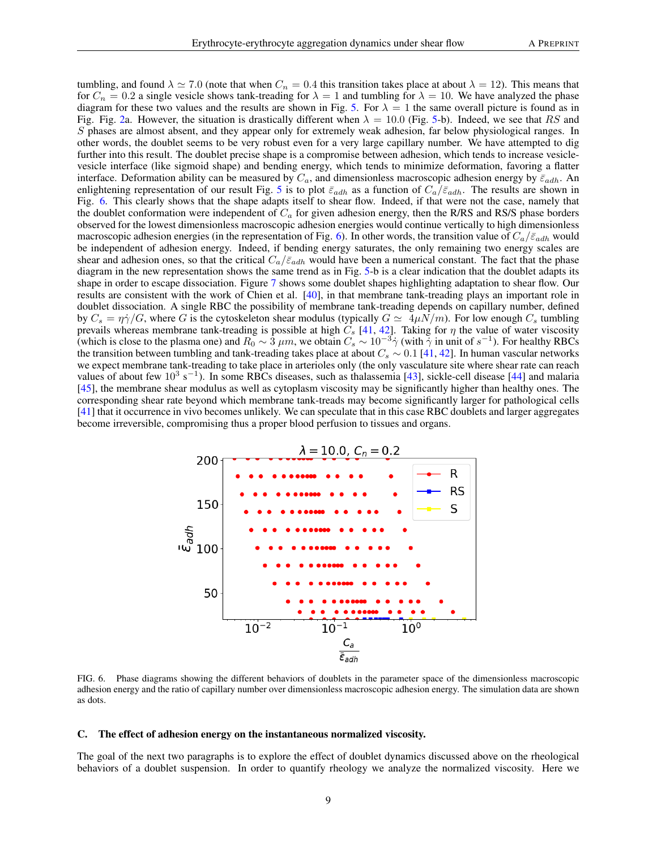tumbling, and found  $\lambda \simeq 7.0$  (note that when  $C_n = 0.4$  this transition takes place at about  $\lambda = 12$ ). This means that for  $C_n = 0.2$  a single vesicle shows tank-treading for  $\lambda = 1$  and tumbling for  $\lambda = 10$ . We have analyzed the phase diagram for these two values and the results are shown in Fig. [5.](#page-7-0) For  $\lambda = 1$  the same overall picture is found as in Fig. Fig. [2a](#page-5-0). However, the situation is drastically different when  $\lambda = 10.0$  (Fig. [5-](#page-7-0)b). Indeed, we see that RS and S phases are almost absent, and they appear only for extremely weak adhesion, far below physiological ranges. In other words, the doublet seems to be very robust even for a very large capillary number. We have attempted to dig further into this result. The doublet precise shape is a compromise between adhesion, which tends to increase vesiclevesicle interface (like sigmoid shape) and bending energy, which tends to minimize deformation, favoring a flatter interface. Deformation ability can be measured by  $C_a$ , and dimensionless macroscopic adhesion energy by  $\bar{\varepsilon}_{adh}$ . An enlightening representation of our result Fig. [5](#page-7-0) is to plot  $\bar{\varepsilon}_{adh}$  as a function of  $C_a/\bar{\varepsilon}_{adh}$ . The results are shown in Fig. [6.](#page-8-0) This clearly shows that the shape adapts itself to shear flow. Indeed, if that were not the case, namely that the doublet conformation were independent of  $C_a$  for given adhesion energy, then the R/RS and RS/S phase borders observed for the lowest dimensionless macroscopic adhesion energies would continue vertically to high dimensionless macroscopic adhesion energies (in the representation of Fig. [6\)](#page-8-0). In other words, the transition value of  $C_a/\bar{\varepsilon}_{adh}$  would be independent of adhesion energy. Indeed, if bending energy saturates, the only remaining two energy scales are shear and adhesion ones, so that the critical  $C_a/\bar{\varepsilon}_{adh}$  would have been a numerical constant. The fact that the phase diagram in the new representation shows the same trend as in Fig. [5-](#page-7-0)b is a clear indication that the doublet adapts its shape in order to escape dissociation. Figure [7](#page-9-0) shows some doublet shapes highlighting adaptation to shear flow. Our results are consistent with the work of Chien et al. [\[40\]](#page-13-35), in that membrane tank-treading plays an important role in doublet dissociation. A single RBC the possibility of membrane tank-treading depends on capillary number, defined by  $C_s = \eta \dot{\gamma}/G$ , where G is the cytoskeleton shear modulus (typically  $G \simeq 4\mu N/m$ ). For low enough  $C_s$  tumbling prevails whereas membrane tank-treading is possible at high  $C_s$  [\[41,](#page-13-36) [42\]](#page-13-37). Taking for  $\eta$  the value of water viscosity (which is close to the plasma one) and  $R_0 \sim 3 \ \mu m$ , we obtain  $C_s \sim 10^{-3} \dot{\gamma}$  (with  $\dot{\gamma}$  in unit of  $s^{-1}$ ). For healthy RBCs the transition between tumbling and tank-treading takes place at about  $C_s \sim 0.1$  [\[41,](#page-13-36) [42\]](#page-13-37). In human vascular networks we expect membrane tank-treading to take place in arterioles only (the only vasculature site where shear rate can reach values of about few  $10^3$  s<sup>-1</sup>). In some RBCs diseases, such as thalassemia [\[43\]](#page-13-38), sickle-cell disease [\[44\]](#page-13-39) and malaria [\[45\]](#page-13-40), the membrane shear modulus as well as cytoplasm viscosity may be significantly higher than healthy ones. The corresponding shear rate beyond which membrane tank-treads may become significantly larger for pathological cells [\[41\]](#page-13-36) that it occurrence in vivo becomes unlikely. We can speculate that in this case RBC doublets and larger aggregates become irreversible, compromising thus a proper blood perfusion to tissues and organs.



<span id="page-8-0"></span>FIG. 6. Phase diagrams showing the different behaviors of doublets in the parameter space of the dimensionless macroscopic adhesion energy and the ratio of capillary number over dimensionless macroscopic adhesion energy. The simulation data are shown as dots.

#### C. The effect of adhesion energy on the instantaneous normalized viscosity.

The goal of the next two paragraphs is to explore the effect of doublet dynamics discussed above on the rheological behaviors of a doublet suspension. In order to quantify rheology we analyze the normalized viscosity. Here we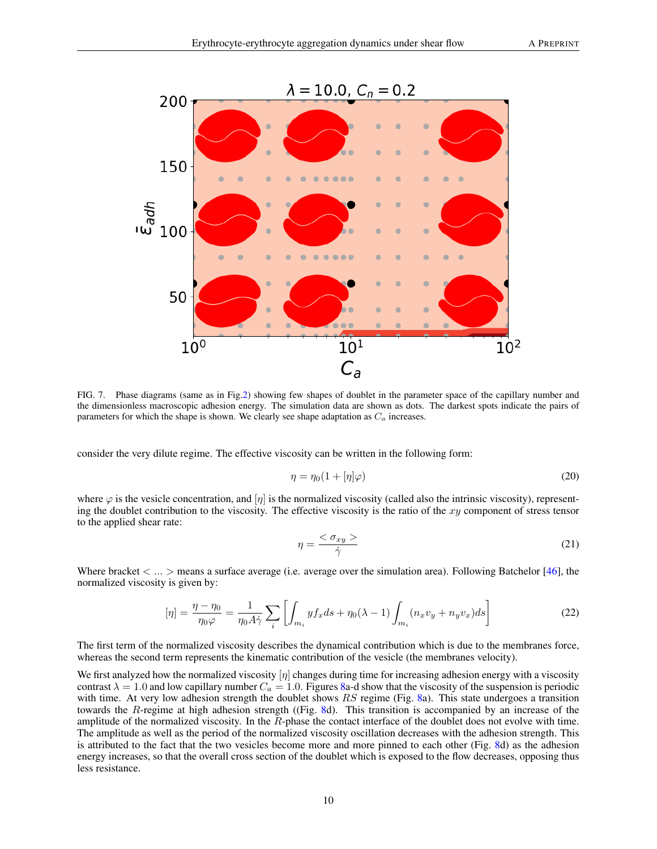

<span id="page-9-0"></span>FIG. 7. Phase diagrams (same as in Fig[.2\)](#page-5-0) showing few shapes of doublet in the parameter space of the capillary number and the dimensionless macroscopic adhesion energy. The simulation data are shown as dots. The darkest spots indicate the pairs of parameters for which the shape is shown. We clearly see shape adaptation as  $C_a$  increases.

consider the very dilute regime. The effective viscosity can be written in the following form:

$$
\eta = \eta_0 (1 + [\eta] \varphi) \tag{20}
$$

where  $\varphi$  is the vesicle concentration, and  $[\eta]$  is the normalized viscosity (called also the intrinsic viscosity), representing the doublet contribution to the viscosity. The effective viscosity is the ratio of the  $xy$  component of stress tensor to the applied shear rate:

$$
\eta = \frac{<\sigma_{xy}>}{\dot{\gamma}}\tag{21}
$$

Where bracket  $\langle \dots \rangle$  means a surface average (i.e. average over the simulation area). Following Batchelor [\[46\]](#page-13-41), the normalized viscosity is given by:

$$
[\eta] = \frac{\eta - \eta_0}{\eta_0 \varphi} = \frac{1}{\eta_0 A \dot{\gamma}} \sum_i \left[ \int_{m_i} y f_x ds + \eta_0 (\lambda - 1) \int_{m_i} (n_x v_y + n_y v_x) ds \right]
$$
(22)

The first term of the normalized viscosity describes the dynamical contribution which is due to the membranes force, whereas the second term represents the kinematic contribution of the vesicle (the membranes velocity).

We first analyzed how the normalized viscosity  $[\eta]$  changes during time for increasing adhesion energy with a viscosity contrast  $\lambda = 1.0$  and low capillary number  $C_a = 1.0$ . Figures [8a](#page-10-0)-d show that the viscosity of the suspension is periodic with time. At very low adhesion strength the doublet shows  $RS$  regime (Fig. [8a](#page-10-0)). This state undergoes a transition towards the R-regime at high adhesion strength ((Fig. [8d](#page-10-0)). This transition is accompanied by an increase of the amplitude of the normalized viscosity. In the R-phase the contact interface of the doublet does not evolve with time. The amplitude as well as the period of the normalized viscosity oscillation decreases with the adhesion strength. This is attributed to the fact that the two vesicles become more and more pinned to each other (Fig. [8d](#page-10-0)) as the adhesion energy increases, so that the overall cross section of the doublet which is exposed to the flow decreases, opposing thus less resistance.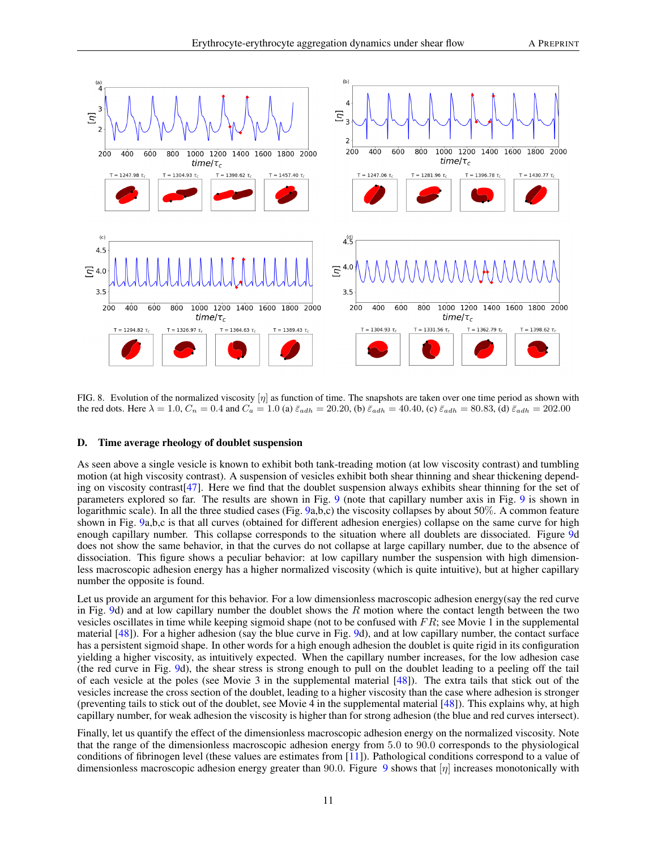

<span id="page-10-0"></span>FIG. 8. Evolution of the normalized viscosity  $|\eta|$  as function of time. The snapshots are taken over one time period as shown with the red dots. Here  $\lambda = 1.0$ ,  $C_n = 0.4$  and  $C_a = 1.0$  (a)  $\bar{\varepsilon}_{adh} = 20.20$ , (b)  $\bar{\varepsilon}_{adh} = 40.40$ , (c)  $\bar{\varepsilon}_{adh} = 80.83$ , (d)  $\bar{\varepsilon}_{adh} = 202.00$ 

### D. Time average rheology of doublet suspension

As seen above a single vesicle is known to exhibit both tank-treading motion (at low viscosity contrast) and tumbling motion (at high viscosity contrast). A suspension of vesicles exhibit both shear thinning and shear thickening depending on viscosity contrast[\[47\]](#page-13-42). Here we find that the doublet suspension always exhibits shear thinning for the set of parameters explored so far. The results are shown in Fig. [9](#page-11-0) (note that capillary number axis in Fig. [9](#page-11-0) is shown in logarithmic scale). In all the three studied cases (Fig. [9a](#page-11-0),b,c) the viscosity collapses by about 50%. A common feature shown in Fig. [9a](#page-11-0),b,c is that all curves (obtained for different adhesion energies) collapse on the same curve for high enough capillary number. This collapse corresponds to the situation where all doublets are dissociated. Figure [9d](#page-11-0) does not show the same behavior, in that the curves do not collapse at large capillary number, due to the absence of dissociation. This figure shows a peculiar behavior: at low capillary number the suspension with high dimensionless macroscopic adhesion energy has a higher normalized viscosity (which is quite intuitive), but at higher capillary number the opposite is found.

Let us provide an argument for this behavior. For a low dimensionless macroscopic adhesion energy(say the red curve in Fig. [9d](#page-11-0)) and at low capillary number the doublet shows the R motion where the contact length between the two vesicles oscillates in time while keeping sigmoid shape (not to be confused with  $FR$ ; see Movie 1 in the supplemental material [\[48\]](#page-13-43)). For a higher adhesion (say the blue curve in Fig. [9d](#page-11-0)), and at low capillary number, the contact surface has a persistent sigmoid shape. In other words for a high enough adhesion the doublet is quite rigid in its configuration yielding a higher viscosity, as intuitively expected. When the capillary number increases, for the low adhesion case (the red curve in Fig. [9d](#page-11-0)), the shear stress is strong enough to pull on the doublet leading to a peeling off the tail of each vesicle at the poles (see Movie 3 in the supplemental material [\[48\]](#page-13-43)). The extra tails that stick out of the vesicles increase the cross section of the doublet, leading to a higher viscosity than the case where adhesion is stronger (preventing tails to stick out of the doublet, see Movie 4 in the supplemental material [\[48\]](#page-13-43)). This explains why, at high capillary number, for weak adhesion the viscosity is higher than for strong adhesion (the blue and red curves intersect).

Finally, let us quantify the effect of the dimensionless macroscopic adhesion energy on the normalized viscosity. Note that the range of the dimensionless macroscopic adhesion energy from 5.0 to 90.0 corresponds to the physiological conditions of fibrinogen level (these values are estimates from [\[11\]](#page-13-4)). Pathological conditions correspond to a value of dimensionless macroscopic adhesion energy greater than [9](#page-11-0)0.0. Figure 9 shows that  $[\eta]$  increases monotonically with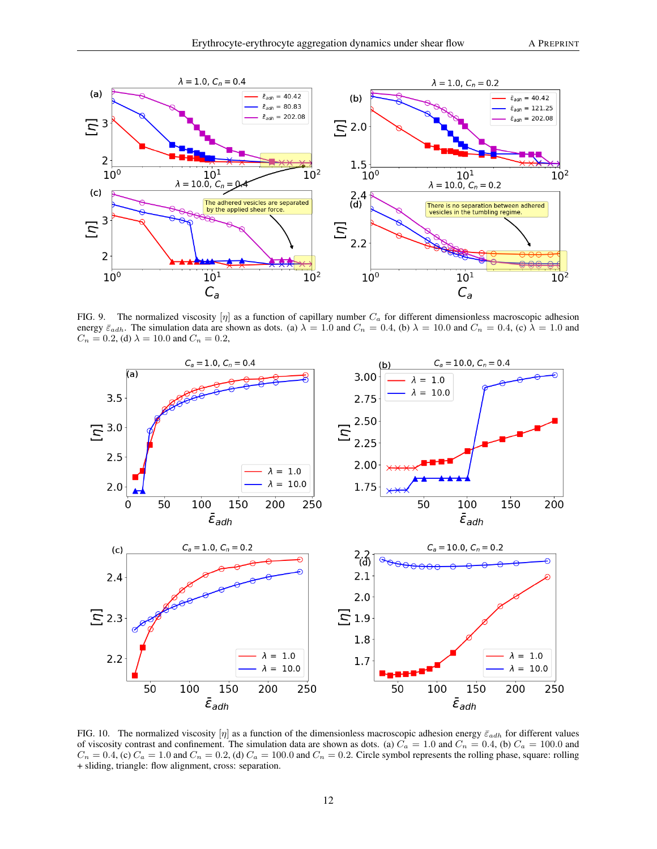

<span id="page-11-0"></span>FIG. 9. The normalized viscosity  $[\eta]$  as a function of capillary number  $C_a$  for different dimensionless macroscopic adhesion energy  $\bar{\varepsilon}_{adh}$ . The simulation data are shown as dots. (a)  $\lambda = 1.0$  and  $C_n = 0.4$ , (b)  $\lambda = 10.0$  and  $C_n = 0.4$ , (c)  $\lambda = 1.0$  and  $C_n = 0.2$ , (d)  $\lambda = 10.0$  and  $C_n = 0.2$ ,



<span id="page-11-1"></span>FIG. 10. The normalized viscosity  $|\eta|$  as a function of the dimensionless macroscopic adhesion energy  $\bar{\varepsilon}_{adh}$  for different values of viscosity contrast and confinement. The simulation data are shown as dots. (a)  $C_a = 1.0$  and  $C_n = 0.4$ , (b)  $C_a = 100.0$  and  $C_n = 0.4$ , (c)  $C_a = 1.0$  and  $C_n = 0.2$ , (d)  $C_a = 100.0$  and  $C_n = 0.2$ . Circle symbol represents the rolling phase, square: rolling + sliding, triangle: flow alignment, cross: separation.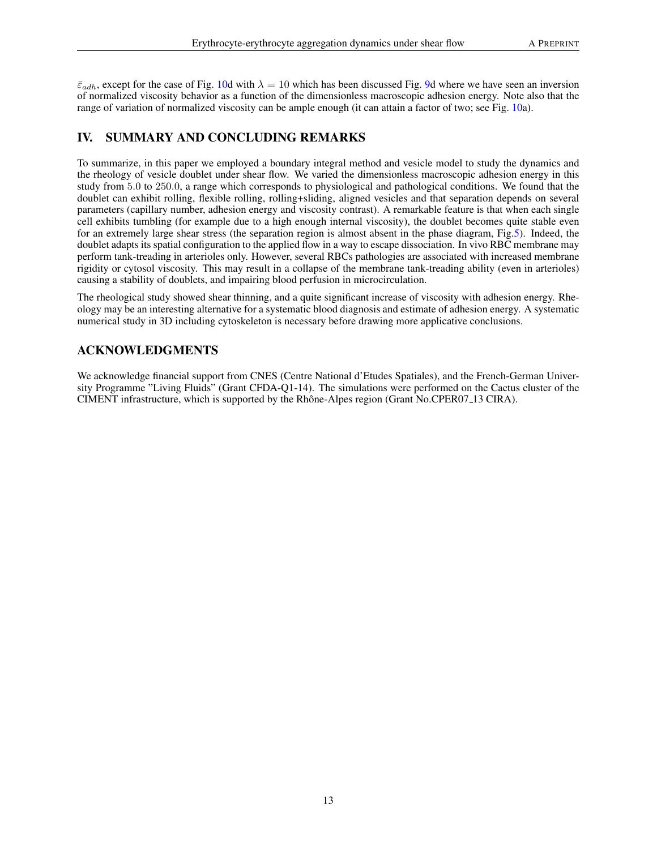$\bar{\varepsilon}_{adh}$ , except for the case of Fig. [10d](#page-11-1) with  $\lambda = 10$  which has been discussed Fig. [9d](#page-11-0) where we have seen an inversion of normalized viscosity behavior as a function of the dimensionless macroscopic adhesion energy. Note also that the range of variation of normalized viscosity can be ample enough (it can attain a factor of two; see Fig. [10a](#page-11-1)).

# IV. SUMMARY AND CONCLUDING REMARKS

To summarize, in this paper we employed a boundary integral method and vesicle model to study the dynamics and the rheology of vesicle doublet under shear flow. We varied the dimensionless macroscopic adhesion energy in this study from 5.0 to 250.0, a range which corresponds to physiological and pathological conditions. We found that the doublet can exhibit rolling, flexible rolling, rolling+sliding, aligned vesicles and that separation depends on several parameters (capillary number, adhesion energy and viscosity contrast). A remarkable feature is that when each single cell exhibits tumbling (for example due to a high enough internal viscosity), the doublet becomes quite stable even for an extremely large shear stress (the separation region is almost absent in the phase diagram, Fig[.5\)](#page-7-0). Indeed, the doublet adapts its spatial configuration to the applied flow in a way to escape dissociation. In vivo RBC membrane may perform tank-treading in arterioles only. However, several RBCs pathologies are associated with increased membrane rigidity or cytosol viscosity. This may result in a collapse of the membrane tank-treading ability (even in arterioles) causing a stability of doublets, and impairing blood perfusion in microcirculation.

The rheological study showed shear thinning, and a quite significant increase of viscosity with adhesion energy. Rheology may be an interesting alternative for a systematic blood diagnosis and estimate of adhesion energy. A systematic numerical study in 3D including cytoskeleton is necessary before drawing more applicative conclusions.

# ACKNOWLEDGMENTS

We acknowledge financial support from CNES (Centre National d'Etudes Spatiales), and the French-German University Programme "Living Fluids" (Grant CFDA-Q1-14). The simulations were performed on the Cactus cluster of the CIMENT infrastructure, which is supported by the Rhône-Alpes region (Grant No.CPER07<sub>-13</sub> CIRA).